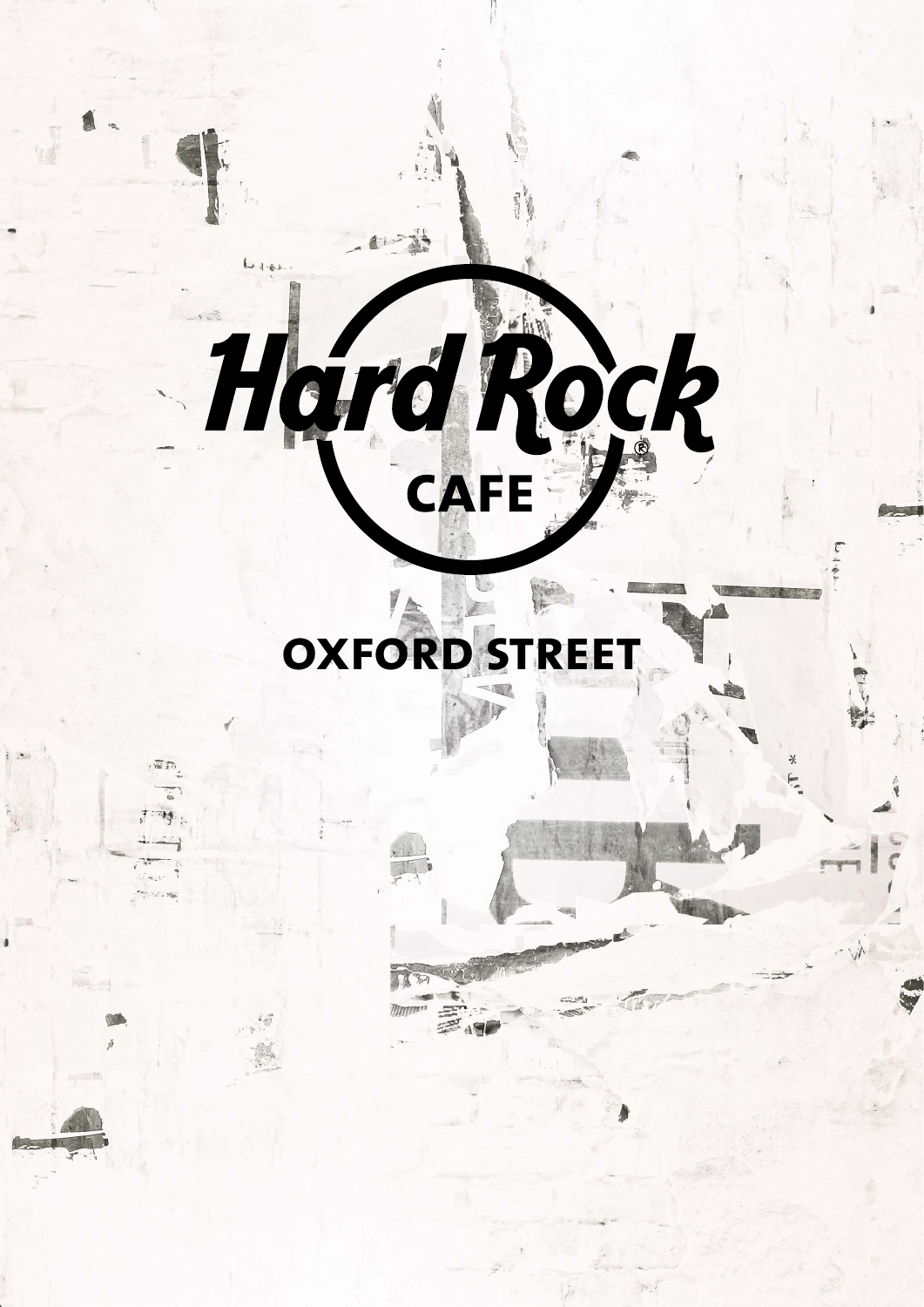